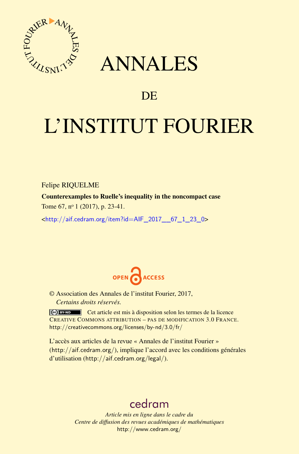

## ANNALES

### **DE**

# L'INSTITUT FOURIER

Felipe RIQUELME

Counterexamples to Ruelle's inequality in the noncompact case

Tome 67, nº 1 (2017), p. 23-41.

<[http://aif.cedram.org/item?id=AIF\\_2017\\_\\_67\\_1\\_23\\_0](http://aif.cedram.org/item?id=AIF_2017__67_1_23_0)>



© Association des Annales de l'institut Fourier, 2017, *Certains droits réservés.*

Cet article est mis à disposition selon les termes de la licence CREATIVE COMMONS ATTRIBUTION – PAS DE MODIFICATION 3.0 FRANCE. <http://creativecommons.org/licenses/by-nd/3.0/fr/>

L'accès aux articles de la revue « Annales de l'institut Fourier » (<http://aif.cedram.org/>), implique l'accord avec les conditions générales d'utilisation (<http://aif.cedram.org/legal/>).

## [cedram](http://www.cedram.org/)

*Article mis en ligne dans le cadre du Centre de diffusion des revues académiques de mathématiques* <http://www.cedram.org/>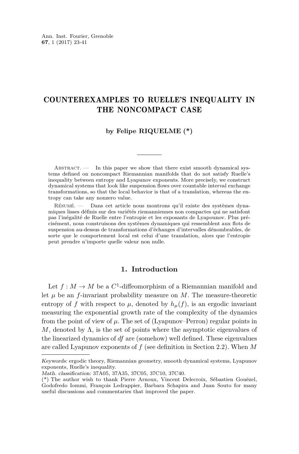#### COUNTEREXAMPLES TO RUELLE'S INEQUALITY IN THE NONCOMPACT CASE

#### **by Felipe RIQUELME (\*)**

ABSTRACT.  $\qquad$  In this paper we show that there exist smooth dynamical systems defined on noncompact Riemannian manifolds that do not satisfy Ruelle's inequality between entropy and Lyapunov exponents. More precisely, we construct dynamical systems that look like suspension flows over countable interval exchange transformations, so that the local behavior is that of a translation, whereas the entropy can take any nonzero value.

Résumé. — Dans cet article nous montrons qu'il existe des systèmes dynamiques lisses définis sur des variétés riemanniennes non compactes qui ne satisfont pas l'inégalité de Ruelle entre l'entropie et les exposants de Lyapounov. Plus précisément, nous construisons des systèmes dynamiques qui ressemblent aux flots de suspension au-dessus de transformations d'échanges d'intervalles dénombrables, de sorte que le comportement local est celui d'une translation, alors que l'entropie peut prendre n'importe quelle valeur non nulle.

#### **1. Introduction**

Let  $f: M \to M$  be a  $C^1$ -diffeomorphism of a Riemannian manifold and let  $\mu$  be an *f*-invariant probability measure on  $M$ . The measure-theoretic entropy of *f* with respect to  $\mu$ , denoted by  $h_{\mu}(f)$ , is an ergodic invariant measuring the exponential growth rate of the complexity of the dynamics from the point of view of  $\mu$ . The set of (Lyapunov–Perron) regular points in *M*, denoted by  $\Lambda$ , is the set of points where the asymptotic eigenvalues of the linearized dynamics of *df* are (somehow) well defined. These eigenvalues are called Lyapunov exponents of *f* (see definition in Section [2.2\)](#page-3-0). When *M*

Keywords: ergodic theory, Riemannian geometry, smooth dynamical systems, Lyapunov exponents, Ruelle's inequality.

Math. classification: 37A05, 37A35, 37C05, 37C10, 37C40.

<sup>(\*)</sup> The author wish to thank Pierre Arnoux, Vincent Delecroix, Sébastien Gouëzel, Godofredo Iommi, François Ledrappier, Barbara Schapira and Juan Souto for many useful discussions and commentaries that improved the paper.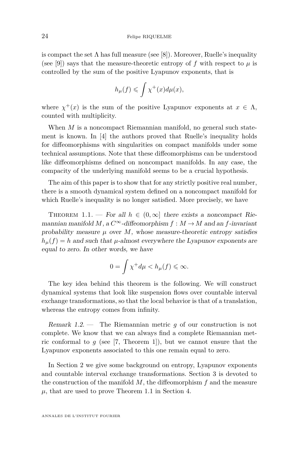is compact the set  $\Lambda$  has full measure (see [\[8\]](#page-19-0)). Moreover, Ruelle's inequality (see [\[9\]](#page-19-1)) says that the measure-theoretic entropy of  $f$  with respect to  $\mu$  is controlled by the sum of the positive Lyapunov exponents, that is

$$
h_{\mu}(f) \leqslant \int \chi^{+}(x) d\mu(x),
$$

where  $\chi^+(x)$  is the sum of the positive Lyapunov exponents at  $x \in \Lambda$ , counted with multiplicity.

When *M* is a noncompact Riemannian manifold, no general such statement is known. In [\[4\]](#page-19-2) the authors proved that Ruelle's inequality holds for diffeomorphisms with singularities on compact manifolds under some technical assumptions. Note that these diffeomorphisms can be understood like diffeomorphisms defined on noncompact manifolds. In any case, the compacity of the underlying manifold seems to be a crucial hypothesis.

The aim of this paper is to show that for any strictly positive real number, there is a smooth dynamical system defined on a noncompact manifold for which Ruelle's inequality is no longer satisfied. More precisely, we have

<span id="page-2-0"></span>THEOREM 1.1. — For all  $h \in (0,\infty]$  there exists a noncompact Riemannian manifold *M*, a  $C^{\infty}$ -diffeomorphism  $f : M \rightarrow M$  and an *f*-invariant probability measure  $\mu$  over  $M$ , whose measure-theoretic entropy satisfies  $h<sub>u</sub>(f) = h$  and such that *µ*-almost everywhere the Lyapunov exponents are equal to zero. In other words, we have

$$
0=\int \chi^+d\mu
$$

The key idea behind this theorem is the following. We will construct dynamical systems that look like suspension flows over countable interval exchange transformations, so that the local behavior is that of a translation, whereas the entropy comes from infinity.

Remark 1.2. — The Riemannian metric *g* of our construction is not complete. We know that we can always find a complete Riemannian metric conformal to  $g$  (see [\[7,](#page-19-3) Theorem 1]), but we cannot ensure that the Lyapunov exponents associated to this one remain equal to zero.

In Section [2](#page-3-1) we give some background on entropy, Lyapunov exponents and countable interval exchange transformations. Section [3](#page-5-0) is devoted to the construction of the manifold *M*, the diffeomorphism *f* and the measure  $\mu$ , that are used to prove Theorem [1.1](#page-2-0) in Section [4.](#page-13-0)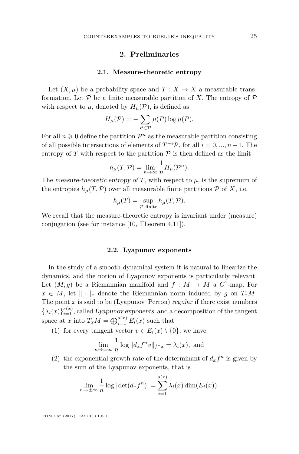#### **2. Preliminaries**

#### **2.1. Measure-theoretic entropy**

<span id="page-3-1"></span>Let  $(X, \mu)$  be a probability space and  $T: X \to X$  a measurable transformation. Let  $P$  be a finite measurable partition of X. The entropy of  $P$ with respect to  $\mu$ , denoted by  $H_{\mu}(\mathcal{P})$ , is defined as

$$
H_{\mu}(\mathcal{P}) = -\sum_{P \in \mathcal{P}} \mu(P) \log \mu(P).
$$

For all  $n \geq 0$  define the partition  $\mathcal{P}^n$  as the measurable partition consisting of all possible intersections of elements of  $T^{-i}P$ , for all  $i = 0, ..., n-1$ . The entropy of  $T$  with respect to the partition  $P$  is then defined as the limit

$$
h_{\mu}(T,\mathcal{P}) = \lim_{n \to \infty} \frac{1}{n} H_{\mu}(\mathcal{P}^n).
$$

The measure-theoretic entropy of *T*, with respect to  $\mu$ , is the supremum of the entropies  $h_\mu(T,\mathcal{P})$  over all measurable finite partitions  $\mathcal P$  of X, i.e.

$$
h_{\mu}(T) = \sup_{\mathcal{P} \text{ finite}} h_{\mu}(T, \mathcal{P}).
$$

We recall that the measure-theoretic entropy is invariant under (measure) conjugation (see for instance [\[10,](#page-19-4) Theorem 4.11]).

#### **2.2. Lyapunov exponents**

<span id="page-3-0"></span>In the study of a smooth dynamical system it is natural to linearize the dynamics, and the notion of Lyapunov exponents is particularly relevant. Let  $(M, g)$  be a Riemannian manifold and  $f : M \to M$  a  $C^1$ -map. For  $x \in M$ , let  $\|\cdot\|_x$  denote the Riemannian norm induced by *g* on  $T_xM$ . The point  $x$  is said to be (Lyapunov–Perron) regular if there exist numbers  $\{\lambda_i(x)\}_{i=1}^{s(x)}$ , called Lyapunov exponents, and a decomposition of the tangent space at *x* into  $T_xM = \bigoplus_{i=1}^{s(x)} E_i(x)$  such that

(1) for every tangent vector  $v \in E_i(x) \setminus \{0\}$ , we have

$$
\lim_{n \to \pm \infty} \frac{1}{n} \log ||d_x f^n v||_{f^n x} = \lambda_i(x), \text{ and}
$$

(2) the exponential growth rate of the determinant of  $d_x f^n$  is given by the sum of the Lyapunov exponents, that is

$$
\lim_{n \to \pm \infty} \frac{1}{n} \log |\det(d_x f^n)| = \sum_{i=1}^{s(x)} \lambda_i(x) \dim(E_i(x)).
$$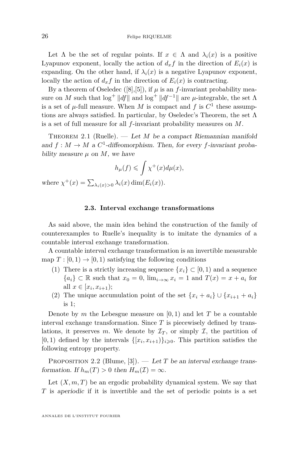Let  $\Lambda$  be the set of regular points. If  $x \in \Lambda$  and  $\lambda_i(x)$  is a positive Lyapunov exponent, locally the action of  $d_x f$  in the direction of  $E_i(x)$  is expanding. On the other hand, if  $\lambda_i(x)$  is a negative Lyapunov exponent, locally the action of  $d_x f$  in the direction of  $E_i(x)$  is contracting.

By a theorem of Oseledec  $([8],[5])$  $([8],[5])$  $([8],[5])$  $([8],[5])$  $([8],[5])$ , if  $\mu$  is an *f*-invariant probability measure on *M* such that  $\log^+ \|df\|$  and  $\log^+ \|df^{-1}\|$  are *µ*-integrable, the set  $\Lambda$ is a set of  $\mu$ -full measure. When *M* is compact and *f* is  $C^1$  these assumptions are always satisfied. In particular, by Oseledec's Theorem, the set  $\Lambda$ is a set of full measure for all *f*-invariant probability measures on *M*.

THEOREM 2.1 (Ruelle).  $-$  *Let M* be a compact Riemannian manifold and  $f: M \to M$  a  $C^1$ -diffeomorphism. Then, for every f-invariant probability measure  $\mu$  on  $M$ , we have

$$
h_{\mu}(f) \leqslant \int \chi^{+}(x) d\mu(x),
$$

where  $\chi^+(x) = \sum_{\lambda_i(x)>0} \lambda_i(x) \dim(E_i(x)).$ 

#### **2.3. Interval exchange transformations**

As said above, the main idea behind the construction of the family of counterexamples to Ruelle's inequality is to imitate the dynamics of a countable interval exchange transformation.

A countable interval exchange transformation is an invertible measurable map  $T : [0, 1) \rightarrow [0, 1)$  satisfying the following conditions

- (1) There is a strictly increasing sequence  $\{x_i\} \subset [0,1)$  and a sequence { $a_i$ } ⊂ R such that  $x_0 = 0$ ,  $\lim_{i \to \infty} x_i = 1$  and  $T(x) = x + a_i$  for all  $x \in [x_i, x_{i+1});$
- (2) The unique accumulation point of the set  $\{x_i + a_i\} \cup \{x_{i+1} + a_i\}$ is 1;

Denote by *m* the Lebesgue measure on  $[0,1)$  and let *T* be a countable interval exchange transformation. Since *T* is piecewisely defined by translations, it preserves *m*. We denote by  $\mathcal{I}_T$ , or simply  $\mathcal{I}$ , the partition of  $[0, 1)$  defined by the intervals  $\{[x_i, x_{i+1})\}_{i \geq 0}$ . This partition satisfies the following entropy property.

<span id="page-4-0"></span>PROPOSITION 2.2 (Blume, [\[3\]](#page-19-6)). — Let *T* be an interval exchange transformation. If  $h_m(T) > 0$  then  $H_m(\mathcal{I}) = \infty$ .

Let  $(X, m, T)$  be an ergodic probability dynamical system. We say that *T* is aperiodic if it is invertible and the set of periodic points is a set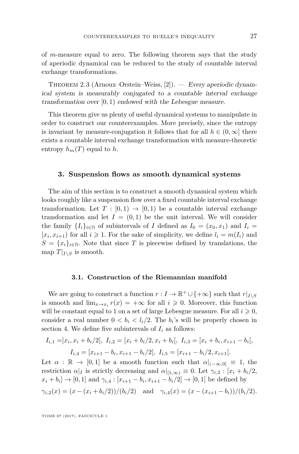of *m*-measure equal to zero. The following theorem says that the study of aperiodic dynamical can be reduced to the study of countable interval exchange transformations.

THEOREM 2.3 (Arnoux–Orstein–Weiss, [\[2\]](#page-18-0)). — Every aperiodic dynamical system is measurably conjugated to a countable interval exchange transformation over [0*,* 1) endowed with the Lebesgue measure.

This theorem give us plenty of useful dynamical systems to manipulate in order to construct our counterexamples. More precisely, since the entropy is invariant by measure-conjugation it follows that for all  $h \in (0, \infty]$  there exists a countable interval exchange transformation with measure-theoretic entropy  $h_m(T)$  equal to  $h$ .

#### <span id="page-5-0"></span>**3. Suspension flows as smooth dynamical systems**

The aim of this section is to construct a smooth dynamical system which looks roughly like a suspension flow over a fixed countable interval exchange transformation. Let  $T : [0,1) \rightarrow [0,1)$  be a countable interval exchange transformation and let  $I = (0,1)$  be the unit interval. We will consider the family  $\{I_i\}_{i\in\mathbb{N}}$  of subintervals of *I* defined as  $I_0 = (x_0, x_1)$  and  $I_i =$  $[x_i, x_{i+1})$  for all  $i \geq 1$ . For the sake of simplicity, we define  $l_i = m(I_i)$  and  $S = \{x_i\}_{i \in \mathbb{N}}$ . Note that since *T* is piecewise defined by translations, the map  $T|_{I\setminus S}$  is smooth.

#### **3.1. Construction of the Riemannian manifold**

<span id="page-5-1"></span>We are going to construct a function  $r: I \to \mathbb{R}^+ \cup \{+\infty\}$  such that  $r|_{I \setminus S}$ is smooth and  $\lim_{x\to x_i} r(x) = +\infty$  for all  $i \geqslant 0$ . Moreover, this function will be constant equal to 1 on a set of large Lebesgue measure. For all  $i \geqslant 0$ , consider a real number  $0 < b_i < l_i/2$ . The  $b_i$ 's will be properly chosen in section 4. We define five subintervals of  $I_i$  as follows:

$$
I_{i,1} = ]x_i, x_i + b_i/2[, \ I_{i,2} = [x_i + b_i/2, x_i + b_i], \ I_{i,3} = [x_i + b_i, x_{i+1} - b_i],
$$

$$
I_{i,4} = [x_{i+1} - b_i, x_{i+1} - b_i/2], \ I_{i,5} = [x_{i+1} - b_i/2, x_{i+1}].
$$

Let  $\alpha : \mathbb{R} \to [0,1]$  be a smooth function such that  $\alpha|_{(-\infty,0]} \equiv 1$ , the restriction  $\alpha|_I$  is strictly decreasing and  $\alpha|_{[1,\infty)} \equiv 0$ . Let  $\gamma_{i,2} : [x_i + b_i/2,$  $x_i + b_i$  → [0, 1] and  $\gamma_{i,4} : [x_{i+1} - b_i, x_{i+1} - b_i/2] \to [0, 1]$  be defined by  $\gamma_{i,2}(x) = (x - (x_i + b_i/2))/(b_i/2)$  and  $\gamma_{i,4}(x) = (x - (x_{i+1} - b_i))/(b_i/2).$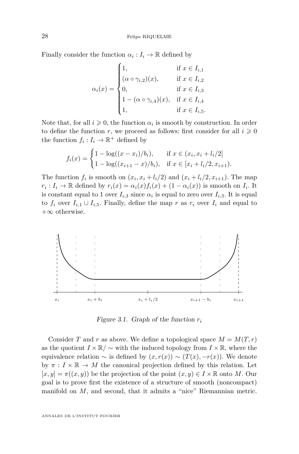Finally consider the function  $\alpha_i: I_i \to \mathbb{R}$  defined by

$$
\alpha_i(x) = \begin{cases}\n1, & \text{if } x \in I_{i,1} \\
(\alpha \circ \gamma_{i,2})(x), & \text{if } x \in I_{i,2} \\
0, & \text{if } x \in I_{i,3} \\
1 - (\alpha \circ \gamma_{i,4})(x), & \text{if } x \in I_{i,4} \\
1, & \text{if } x \in I_{i,5}.\n\end{cases}
$$

Note that, for all  $i \geqslant 0$ , the function  $\alpha_i$  is smooth by construction. In order to define the function *r*, we proceed as follows: first consider for all  $i \geq 0$ the function  $f_i: I_i \to \mathbb{R}^+$  defined by

$$
f_i(x) = \begin{cases} 1 - \log((x - x_i)/b_i), & \text{if } x \in (x_i, x_i + l_i/2] \\ 1 - \log((x_{i+1} - x)/b_i), & \text{if } x \in [x_i + l_i/2, x_{i+1}). \end{cases}
$$

The function  $f_i$  is smooth on  $(x_i, x_i + l_i/2)$  and  $(x_i + l_i/2, x_{i+1})$ . The map  $r_i: I_i \to \mathbb{R}$  defined by  $r_i(x) = \alpha_i(x) f_i(x) + (1 - \alpha_i(x))$  is smooth on  $I_i$ . It is constant equal to 1 over  $I_{i,3}$  since  $\alpha_i$  is equal to zero over  $I_{i,3}$ . It is equal to  $f_i$  over  $I_{i,1} \cup I_{i,5}$ . Finally, define the map  $r$  as  $r_i$  over  $I_i$  and equal to  $+\infty$  otherwise.



Figure 3.1. Graph of the function *r<sup>i</sup>*

Consider *T* and *r* as above. We define a topological space  $M = M(T, r)$ as the quotient  $I \times \mathbb{R}/\sim$  with the induced topology from  $I \times \mathbb{R}$ , where the equivalence relation  $\sim$  is defined by  $(x, r(x)) \sim (T(x), -r(x))$ . We denote by  $\pi : I \times \mathbb{R} \to M$  the canonical projection defined by this relation. Let  $[x, y] = \pi((x, y))$  be the projection of the point  $(x, y) \in I \times \mathbb{R}$  onto M. Our goal is to prove first the existence of a structure of smooth (noncompact) manifold on *M*, and second, that it admits a "nice" Riemannian metric.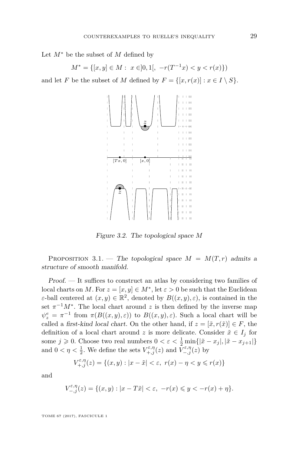Let *M*<sup>∗</sup> be the subset of *M* defined by

$$
M^* = \{ [x, y] \in M : x \in ]0, 1[, -r(T^{-1}x) < y < r(x) \}
$$

and let *F* be the subset of *M* defined by  $F = \{ [x, r(x)] : x \in I \setminus S \}.$ 



Figure 3.2. The topological space *M*

PROPOSITION 3.1. — The topological space  $M = M(T, r)$  admits a structure of smooth manifold.

Proof. — It suffices to construct an atlas by considering two families of local charts on *M*. For  $z = [x, y] \in M^*$ , let  $\varepsilon > 0$  be such that the Euclidean *ε*-ball centered at  $(x, y) \in \mathbb{R}^2$ , denoted by  $B((x, y), \varepsilon)$ , is contained in the set  $\pi^{-1}M^*$ . The local chart around *z* is then defined by the inverse map  $\psi_z^e = \pi^{-1}$  from  $\pi(B((x,y),\varepsilon))$  to  $B((x,y),\varepsilon)$ . Such a local chart will be called a first-kind local chart. On the other hand, if  $z = [\tilde{x}, r(\tilde{x})] \in F$ , the definition of a local chart around *z* is more delicate. Consider  $\tilde{x} \in I_j$  for some  $j \ge 0$ . Choose two real numbers  $0 < \varepsilon < \frac{1}{2} \min\{|\tilde{x} - x_j|, |\tilde{x} - x_{j+1}|\}$ and  $0 < \eta < \frac{1}{2}$ . We define the sets  $V_{+,j}^{\varepsilon,\eta}(z)$  and  $\overline{V}_{-,j}^{\varepsilon,\eta}(z)$  by

$$
V_{+,j}^{\varepsilon,\eta}(z) = \{(x,y) : |x - \tilde{x}| < \varepsilon, \ r(x) - \eta < y \leqslant r(x)\}
$$

and

$$
V_{-,j}^{\varepsilon,\eta}(z) = \{(x,y) : |x - T\tilde{x}| < \varepsilon, \ -r(x) \leq y < -r(x) + \eta\}.
$$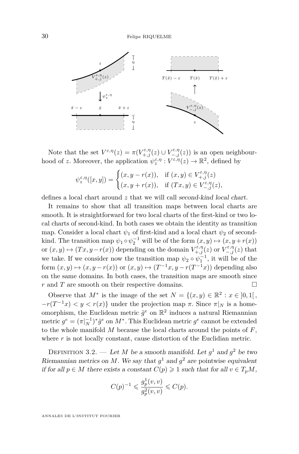

Note that the set  $V^{\varepsilon,\eta}(z) = \pi(V^{\varepsilon,\eta}_{+,j}(z) \cup V^{\varepsilon,\eta}_{-,j}(z))$  is an open neighbourhood of *z*. Moreover, the application  $\psi_z^{\varepsilon,\eta}: V^{\varepsilon,\eta}(z) \to \mathbb{R}^2$ , defined by

$$
\psi_z^{\varepsilon,\eta}([x,y]) = \begin{cases} (x,y-r(x)), & \text{if } (x,y) \in V_{+,j}^{\varepsilon,\eta}(z) \\ (x,y+r(x)), & \text{if } (Tx,y) \in V_{-,j}^{\varepsilon,\eta}(z), \end{cases}
$$

defines a local chart around z that we will call second-kind local chart.

It remains to show that all transition maps between local charts are smooth. It is straightforward for two local charts of the first-kind or two local charts of second-kind. In both cases we obtain the identity as transition map. Consider a local chart  $\psi_1$  of first-kind and a local chart  $\psi_2$  of secondkind. The transition map  $\psi_1 \circ \psi_2^{-1}$  will be of the form  $(x, y) \mapsto (x, y + r(x))$ or  $(x, y) \mapsto (Tx, y - r(x))$  depending on the domain  $V_{+,j}^{\varepsilon,\eta}(z)$  or  $V_{-,j}^{\varepsilon,\eta}(z)$  that we take. If we consider now the transition map  $\psi_2 \circ \psi_1^{-1}$ , it will be of the form  $(x, y) \mapsto (x, y - r(x))$  or  $(x, y) \mapsto (T^{-1}x, y - r(T^{-1}x))$  depending also on the same domains. In both cases, the transition maps are smooth since *r* and *T* are smooth on their respective domains. □

Observe that  $M^*$  is the image of the set  $N = \{(x, y) \in \mathbb{R}^2 : x \in ]0,1[$ ,  $-r(T^{-1}x) < y < r(x)$  under the projection map  $\pi$ . Since  $\pi|_N$  is a homeomorphism, the Euclidean metric  $\tilde{g}^e$  on  $\mathbb{R}^2$  induces a natural Riemannian metric  $g^e = (\pi|_N^{-1})^* \tilde{g}^e$  on  $M^*$ . This Euclidean metric  $g^e$  cannot be extended to the whole manifold *M* because the local charts around the points of *F*, where  $r$  is not locally constant, cause distortion of the Euclidian metric.

DEFINITION 3.2. — Let *M* be a smooth manifold. Let  $g^1$  and  $g^2$  be two Riemannian metrics on M. We say that  $g^1$  and  $g^2$  are pointwise equivalent if for all  $p \in M$  there exists a constant  $C(p) \geq 1$  such that for all  $v \in T_pM$ ,

$$
C(p)^{-1} \leqslant \frac{g_p^1(v,v)}{g_p^2(v,v)} \leqslant C(p).
$$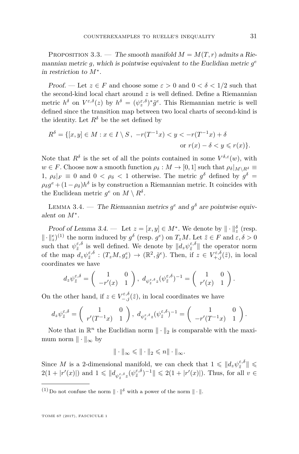<span id="page-9-1"></span>PROPOSITION 3.3. — The smooth manifold  $M = M(T, r)$  admits a Riemannian metric  $g$ , which is pointwise equivalent to the Euclidian metric  $g^e$ in restriction to *M*<sup>∗</sup> .

Proof. — Let  $z \in F$  and choose some  $\varepsilon > 0$  and  $0 < \delta < 1/2$  such that the second-kind local chart around *z* is well defined. Define a Riemannian metric  $h^{\delta}$  on  $V^{\varepsilon,\delta}(z)$  by  $h^{\delta} = (\psi^{\varepsilon,\delta}_z)^* \tilde{g}^e$ . This Riemannian metric is well defined since the transition map between two local charts of second-kind is the identity. Let  $R^{\delta}$  be the set defined by

$$
R^{\delta} = \{ [x, y] \in M : x \in I \setminus S, -r(T^{-1}x) < y < -r(T^{-1}x) + \delta
$$
\nor

\n
$$
r(x) - \delta < y \leq r(x) \}.
$$

Note that  $R^{\delta}$  is the set of all the points contained in some  $V^{\delta,\varepsilon}(w)$ , with  $w \in F$ . Choose now a smooth function  $\rho_{\delta}: M \to [0,1]$  such that  $\rho_{\delta}|_{M \setminus R^{\delta}} \equiv$ 1,  $\rho_{\delta}|_F \equiv 0$  and  $0 < \rho_{\delta} < 1$  otherwise. The metric  $g^{\delta}$  defined by  $g^{\delta} =$  $\rho_{\delta} g^e + (1 - \rho_{\delta}) h^{\delta}$  is by construction a Riemannian metric. It coincides with the Euclidean metric  $g^e$  on  $M \setminus R^{\delta}$ .

<span id="page-9-0"></span>LEMMA 3.4. — The Riemannian metrics  $g^e$  and  $g^{\delta}$  are pointwise equivalent on *M*<sup>∗</sup> .

Proof of Lemma [3.4.](#page-9-0) — Let  $z = [x, y] \in M^*$ . We denote by  $\|\cdot\|_z^{\delta}$  (resp.  $\|\cdot\|_z^e$ <sup>(1)</sup> the norm induced by  $g^{\delta}$  (resp.  $g^e$ ) on  $T_zM$ . Let  $\tilde{z} \in F$  and  $\varepsilon, \delta > 0$ such that  $\psi_{\tilde{z}}^{\varepsilon,\delta}$  is well defined. We denote by  $||d_z\psi_{\tilde{z}}^{\varepsilon,\delta}||$  the operator norm of the map  $d_z\psi_{\tilde{z}}^{\varepsilon,\delta} : (T_zM, g_z^e) \to (\mathbb{R}^2, \tilde{g}^e)$ . Then, if  $z \in V_{+,j}^{\varepsilon,\delta}(\tilde{z})$ , in local coordinates we have

$$
d_z\psi_{\tilde{z}}^{\varepsilon,\delta} = \begin{pmatrix} 1 & 0 \\ -r'(x) & 1 \end{pmatrix}, d_{\psi_{\tilde{z}}^{\varepsilon,\delta}z}(\psi_{\tilde{z}}^{\varepsilon,\delta})^{-1} = \begin{pmatrix} 1 & 0 \\ r'(x) & 1 \end{pmatrix}.
$$

On the other hand, if  $z \in V_{-,j}^{\varepsilon,\delta}(\tilde{z})$ , in local coordinates we have

$$
d_z\psi_{\tilde{z}}^{\varepsilon,\delta} = \begin{pmatrix} 1 & 0 \\ r'(T^{-1}x) & 1 \end{pmatrix}, \ d_{\psi_{\tilde{z}}^{\varepsilon,\delta}z}(\psi_{\tilde{z}}^{\varepsilon,\delta})^{-1} = \begin{pmatrix} 1 & 0 \\ -r'(T^{-1}x) & 1 \end{pmatrix}.
$$

Note that in  $\mathbb{R}^n$  the Euclidian norm  $\|\cdot\|_2$  is comparable with the maximum norm  $\|\cdot\|_{\infty}$  by

$$
\|\cdot\|_\infty\leqslant \|\cdot\|_2\leqslant n\|\cdot\|_\infty.
$$

Since *M* is a 2-dimensional manifold, we can check that  $1 \leq \Vert d_z \psi_{\tilde{z}}^{\varepsilon,\delta} \Vert \leq$  $2(1+|r'(x)|)$  and  $1 \leq |d_{\psi_{\tilde{z}}^{\varepsilon,\delta}z}(\psi_{\tilde{z}}^{\varepsilon,\delta})^{-1}|| \leq 2(1+|r'(x)|)$ . Thus, for all  $v \in$ 

<sup>&</sup>lt;sup>(1)</sup> Do not confuse the norm  $\|\cdot\|^{\delta}$  with a power of the norm  $\|\cdot\|$ .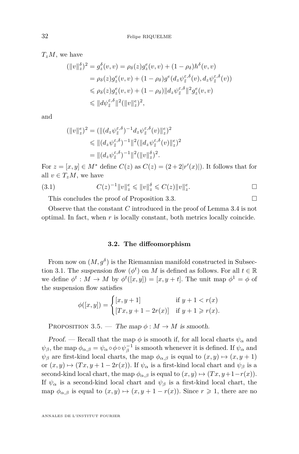*TzM*, we have

$$
(\|v\|_{z}^{\delta})^{2} = g_{z}^{\delta}(v,v) = \rho_{\delta}(z)g_{z}^{\epsilon}(v,v) + (1 - \rho_{\delta})h^{\delta}(v,v)
$$
  
\n
$$
= \rho_{\delta}(z)g_{z}^{\epsilon}(v,v) + (1 - \rho_{\delta})g^{\epsilon}(dz\psi_{\tilde{z}}^{\epsilon,\delta}(v), d_{z}\psi_{\tilde{z}}^{\epsilon,\delta}(v))
$$
  
\n
$$
\leq \rho_{\delta}(z)g_{z}^{\epsilon}(v,v) + (1 - \rho_{\delta})||d_{z}\psi_{\tilde{z}}^{\epsilon,\delta}||^{2}g_{z}^{\epsilon}(v,v)
$$
  
\n
$$
\leq ||d\psi_{\tilde{z}}^{\epsilon,\delta}||^{2}(||v||_{z}^{\epsilon})^{2},
$$

and

$$
(\|v\|_{z}^{\epsilon})^{2} = (\|(d_{z}\psi_{\tilde{z}}^{\epsilon,\delta})^{-1} d_{z}\psi_{\tilde{z}}^{\epsilon,\delta}(v)\|_{z}^{\epsilon})^{2}
$$
  
\$\leqslant \|(d\_{z}\psi\_{\tilde{z}}^{\epsilon,\delta})^{-1}\|^{2} (\|d\_{z}\psi\_{\tilde{z}}^{\epsilon,\delta}(v)\|\_{z}^{\epsilon})^{2}\$  
= \|(d\_{z}\psi\_{\tilde{z}}^{\epsilon,\delta})^{-1}\|^{2} (\|v\|\_{z}^{\delta})^{2} .

For  $z = [x, y] \in M^*$  define  $C(z)$  as  $C(z) = (2 + 2|r'(x)|)$ . It follows that for all  $v \in T_zM$ , we have

(3.1) 
$$
C(z)^{-1} \|v\|_{z}^{e} \leq \|v\|_{z}^{\delta} \leq C(z) \|v\|_{z}^{e}.
$$

This concludes the proof of Proposition [3.3.](#page-9-1)

Observe that the constant *C* introduced in the proof of Lemma [3.4](#page-9-0) is not optimal. In fact, when *r* is locally constant, both metrics locally coincide.

#### **3.2. The diffeomorphism**

From now on  $(M, g^{\delta})$  is the Riemannian manifold constructed in Subsec-tion [3.1.](#page-5-1) The suspension flow  $(\phi^t)$  on *M* is defined as follows. For all  $t \in \mathbb{R}$ we define  $\phi^t : M \to M$  by  $\phi^t([x, y]) = [x, y + t]$ . The unit map  $\phi^1 = \phi$  of the suspension flow satisfies

$$
\phi([x, y]) = \begin{cases} [x, y+1] & \text{if } y+1 < r(x) \\ [Tx, y+1-2r(x)] & \text{if } y+1 \ge r(x). \end{cases}
$$

PROPOSITION 3.5. — The map  $\phi : M \to M$  is smooth.

Proof. — Recall that the map  $\phi$  is smooth if, for all local charts  $\psi_{\alpha}$  and  $\psi_{\beta}$ , the map  $\phi_{\alpha,\beta} = \psi_{\alpha} \circ \phi \circ \psi_{\beta}^{-1}$  is smooth whenever it is defined. If  $\psi_{\alpha}$  and  $\psi_{\beta}$  are first-kind local charts, the map  $\phi_{\alpha,\beta}$  is equal to  $(x, y) \mapsto (x, y + 1)$ or  $(x, y) \mapsto (Tx, y + 1 - 2r(x))$ . If  $\psi_{\alpha}$  is a first-kind local chart and  $\psi_{\beta}$  is a second-kind local chart, the map  $\phi_{\alpha,\beta}$  is equal to  $(x,y) \mapsto (Tx, y+1-r(x)).$ If  $\psi_{\alpha}$  is a second-kind local chart and  $\psi_{\beta}$  is a first-kind local chart, the map  $\phi_{\alpha,\beta}$  is equal to  $(x,y) \mapsto (x, y+1-r(x))$ . Since  $r \geq 1$ , there are no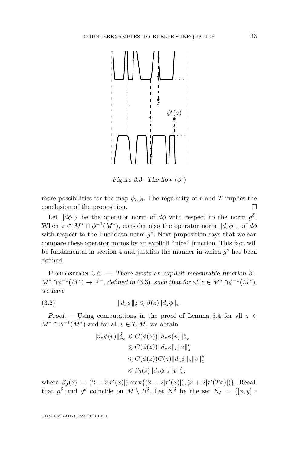

Figure 3.3. The flow  $(\phi^t)$ 

more possibilities for the map  $\phi_{\alpha,\beta}$ . The regularity of *r* and *T* implies the conclusion of the proposition.

Let  $||d\phi||_{\delta}$  be the operator norm of  $d\phi$  with respect to the norm  $g^{\delta}$ . When  $z \in M^* \cap \phi^{-1}(M^*)$ , consider also the operator norm  $||d_z\phi||_e$  of  $d\phi$ with respect to the Euclidean norm  $g^e$ . Next proposition says that we can compare these operator norms by an explicit "nice" function. This fact will be fundamental in section 4 and justifies the manner in which  $g^{\delta}$  has been defined.

<span id="page-11-0"></span>PROPOSITION 3.6. — There exists an explicit measurable function  $\beta$ :  $M^* \cap \phi^{-1}(M^*) \to \mathbb{R}^+$ , defined in [\(3.3\)](#page-12-0), such that for all  $z \in M^* \cap \phi^{-1}(M^*)$ , we have

<span id="page-11-1"></span>(3.2) k*dzφ*k*<sup>δ</sup>* 6 *β*(*z*)k*dzφ*k*e.*

Proof. — Using computations in the proof of Lemma [3.4](#page-9-0) for all  $z \in$  $M^* \cap \phi^{-1}(M^*)$  and for all  $v \in T_zM$ , we obtain

$$
||d_z\phi(v)||_{\phi_z}^{\delta} \leq C(\phi(z))||d_z\phi(v)||_{\phi_z}^{\epsilon}
$$
  
\n
$$
\leq C(\phi(z))||d_z\phi||_e ||v||_z^{\epsilon}
$$
  
\n
$$
\leq C(\phi(z))C(z)||d_z\phi||_e ||v||_z^{\delta}
$$
  
\n
$$
\leq \beta_0(z)||d_z\phi||_e ||v||_z^{\delta},
$$

where  $\beta_0(z) = (2 + 2|r'(x)|) \max\{(2 + 2|r'(x)|), (2 + 2|r'(Tx)|)\}$ . Recall that  $g^{\delta}$  and  $g^e$  coincide on  $M \setminus R^{\delta}$ . Let  $K^{\delta}$  be the set  $K_{\delta} = \{ [x, y] :$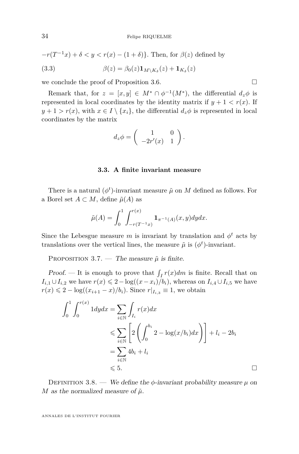$$
-r(T^{-1}x) + \delta < y < r(x) - (1+\delta)
$$
. Then, for  $\beta(z)$  defined by

<span id="page-12-0"></span>(3.3) 
$$
\beta(z) = \beta_0(z) \mathbf{1}_{M \setminus K_\delta}(z) + \mathbf{1}_{K_\delta}(z)
$$

we conclude the proof of Proposition [3.6.](#page-11-0)

Remark that, for  $z = [x, y] \in M^* \cap \phi^{-1}(M^*)$ , the differential  $d_z \phi$  is represented in local coordinates by the identity matrix if  $y + 1 < r(x)$ . If  $y + 1 > r(x)$ , with  $x \in I \setminus \{x_i\}$ , the differential  $d_z \phi$  is represented in local coordinates by the matrix

$$
d_z \phi = \left( \begin{array}{cc} 1 & 0 \\ -2r'(x) & 1 \end{array} \right).
$$

#### **3.3. A finite invariant measure**

There is a natural  $(\phi^t)$ -invariant measure  $\tilde{\mu}$  on *M* defined as follows. For a Borel set  $A \subset M$ , define  $\tilde{\mu}(A)$  as

$$
\tilde{\mu}(A) = \int_0^1 \int_{-r(T^{-1}x)}^{r(x)} \mathbf{1}_{\pi^{-1}(A)}(x, y) dy dx.
$$

Since the Lebesgue measure *m* is invariant by translation and  $\phi^t$  acts by translations over the vertical lines, the measure  $\tilde{\mu}$  is  $(\phi^t)$ -invariant.

PROPOSITION 3.7. — The measure  $\tilde{\mu}$  is finite.

Proof. — It is enough to prove that  $\int_I r(x) dm$  is finite. Recall that on  $I_{i,1} \cup I_{i,2}$  we have  $r(x) \leq 2 - \log((x-x_i)/b_i)$ , whereas on  $I_{i,4} \cup I_{i,5}$  we have *r*(*x*) ≤ 2 − log( $(x_{i+1} - x)/b_i$ ). Since  $r|_{I_{i,3}} \equiv 1$ , we obtain

$$
\int_0^1 \int_0^{r(x)} 1 dy dx = \sum_{i \in \mathbb{N}} \int_{I_i} r(x) dx
$$
  
\n
$$
\leqslant \sum_{i \in \mathbb{N}} \left[ 2 \left( \int_0^{b_i} 2 - \log(x/b_i) dx \right) \right] + l_i - 2b_i
$$
  
\n
$$
= \sum_{i \in \mathbb{N}} 4b_i + l_i
$$
  
\n
$$
\leqslant 5.
$$

DEFINITION 3.8. — We define the  $\phi$ -invariant probability measure  $\mu$  on *M* as the normalized measure of  $\tilde{\mu}$ .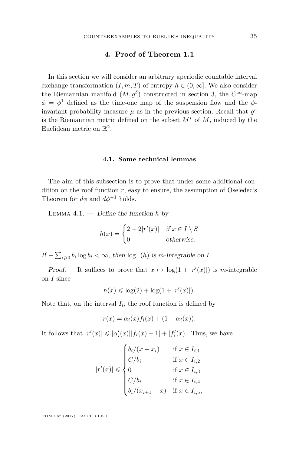#### **4. Proof of Theorem [1.1](#page-2-0)**

<span id="page-13-0"></span>In this section we will consider an arbitrary aperiodic countable interval exchange transformation  $(I, m, T)$  of entropy  $h \in (0, \infty]$ . We also consider the Riemannian manifold  $(M, g^{\delta})$  constructed in section 3, the  $C^{\infty}$ -map  $\phi = \phi^1$  defined as the time-one map of the suspension flow and the  $\phi$ invariant probability measure  $\mu$  as in the previous section. Recall that  $g^e$ is the Riemannian metric defined on the subset *M*<sup>∗</sup> of *M*, induced by the Euclidean metric on  $\mathbb{R}^2$ .

#### **4.1. Some technical lemmas**

The aim of this subsection is to prove that under some additional condition on the roof function  $r$ , easy to ensure, the assumption of Oseledec's Theorem for  $d\phi$  and  $d\phi^{-1}$  holds.

<span id="page-13-1"></span>Lemma 4.1. — Define the function *h* by

$$
h(x) = \begin{cases} 2 + 2|r'(x)| & \text{if } x \in I \setminus S \\ 0 & \text{otherwise.} \end{cases}
$$

*If* −  $\sum_{i\geqslant 0} b_i \log b_i < \infty$ , then  $\log^+(h)$  is *m*-integrable on *I*.

Proof. — It suffices to prove that  $x \mapsto \log(1 + |r'(x)|)$  is *m*-integrable on *I* since

$$
h(x) \leq \log(2) + \log(1 + |r'(x)|).
$$

Note that, on the interval  $I_i$ , the roof function is defined by

$$
r(x) = \alpha_i(x) f_i(x) + (1 - \alpha_i(x)).
$$

It follows that  $|r'(x)| \leq |\alpha'_i(x)||f_i(x) - 1| + |f'_i(x)|$ . Thus, we have

$$
|r'(x)| \leqslant \begin{cases} b_i/(x - x_i) & \text{if } x \in I_{i,1} \\ C/b_i & \text{if } x \in I_{i,2} \\ 0 & \text{if } x \in I_{i,3} \\ C/b_i & \text{if } x \in I_{i,4} \\ b_i/(x_{i+1} - x) & \text{if } x \in I_{i,5} \end{cases}
$$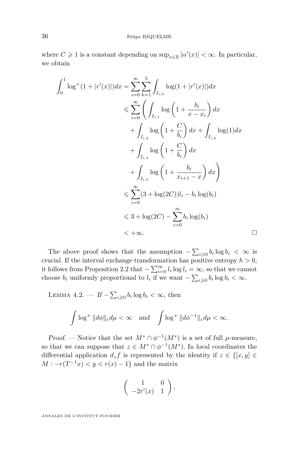where  $C \geq 1$  is a constant depending on  $\sup_{x \in \mathbb{R}} |\alpha'(x)| < \infty$ . In particular, we obtain

$$
\int_{0}^{1} \log^{+}(1+|r'(x)|)dx = \sum_{i=0}^{\infty} \sum_{k=1}^{5} \int_{I_{i,k}} \log(1+|r'(x)|)dx
$$
  
\n
$$
\leqslant \sum_{i=0}^{\infty} \left( \int_{I_{i,1}} \log\left(1+\frac{b_i}{x-x_i}\right) dx + \int_{I_{i,2}} \log(1) dx + \int_{I_{i,3}} \log(1) dx + \int_{I_{i,4}} \log\left(1+\frac{C}{b_i}\right) dx + \int_{I_{i,5}} \log\left(1+\frac{b_i}{x_{i+1}-x}\right) dx \right)
$$
  
\n
$$
\leqslant \sum_{i=0}^{\infty} (3+\log(2C))l_i - b_i \log(b_i)
$$
  
\n
$$
\leqslant 3 + \log(2C) - \sum_{i=0}^{\infty} b_i \log(b_i)
$$
  
\n
$$
< +\infty.
$$

The above proof shows that the assumption  $-\sum_{i\geqslant 0} b_i \log b_i < \infty$  is crucial. If the interval exchange transformation has positive entropy  $h > 0$ , it follows from Proposition [2.2](#page-4-0) that  $-\sum_{i=0}^{\infty} l_i \log l_i = \infty$ , so that we cannot choose  $b_i$  uniformly proportional to  $l_i$  if we want  $-\sum_{i\geqslant 0} b_i \log b_i < \infty$ .

<span id="page-14-0"></span>LEMMA 4.2. — If  $-\sum_{i\geqslant 0} b_i \log b_i < \infty$ , then

$$
\int \log^+ \|d\phi\|_e d\mu < \infty \quad \text{and} \quad \int \log^+ \|d\phi^{-1}\|_e d\mu < \infty.
$$

Proof. — Notice that the set  $M^* \cap \phi^{-1}(M^*)$  is a set of full  $\mu$ -measure, so that we can suppose that  $z \in M^* \cap \phi^{-1}(M^*)$ . In local coordinates the differential application  $d_z f$  is represented by the identity if  $z \in \{[x, y] \in$  $M: -r(T^{-1}x) < y < r(x) - 1$ } and the matrix

$$
\left(\begin{array}{cc}1&0\\-2r'(x)&1\end{array}\right),\end{array}
$$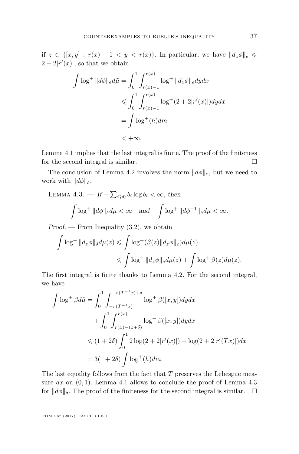if  $z \in \{[x,y] : r(x) - 1 < y < r(x)\}\.$  In particular, we have  $||d_z\phi||_e \leq$  $2 + 2|r'(x)|$ , so that we obtain

$$
\int \log^+ \|d\phi\|_e d\tilde{\mu} = \int_0^1 \int_{r(x)-1}^{r(x)} \log^+ \|d_z\phi\|_e dy dx
$$
  
\n
$$
\leq \int_0^1 \int_{r(x)-1}^{r(x)} \log^+(2+2|r'(x)|) dy dx
$$
  
\n
$$
= \int \log^+(h) dm
$$
  
\n
$$
< +\infty.
$$

Lemma [4.1](#page-13-1) implies that the last integral is finite. The proof of the finiteness for the second integral is similar.

The conclusion of Lemma [4.2](#page-14-0) involves the norm  $||d\phi||_e$ , but we need to work with  $\|d\phi\|_{\delta}$ .

## <span id="page-15-0"></span>LEMMA 4.3. — If  $-\sum_{i\geqslant 0} b_i \log b_i < \infty$ , then  $\int \log^+ \|d\phi\|_{\delta} d\mu < \infty$  and  $\int \log^+ \|d\phi^{-1}\|_{\delta} d\mu < \infty$ .

*Proof.* — From Inequality  $(3.2)$ , we obtain

$$
\int \log^+ \|d_z\phi\|_{\delta} d\mu(z) \leq \int \log^+ (\beta(z) \|d_z\phi\|_e) d\mu(z)
$$
  

$$
\leq \int \log^+ \|d_z\phi\|_e d\mu(z) + \int \log^+ \beta(z) d\mu(z).
$$

The first integral is finite thanks to Lemma [4.2.](#page-14-0) For the second integral, we have

$$
\int \log^+ \beta d\tilde{\mu} = \int_0^1 \int_{-r(T^{-1}x)}^{-r(T^{-1}x)+\delta} \log^+ \beta([x, y]) dy dx \n+ \int_0^1 \int_{r(x)-(1+\delta)}^{r(x)} \log^+ \beta([x, y]) dy dx \n\leq (1+2\delta) \int_0^1 2 \log(2 + 2|r'(x)|) + \log(2 + 2|r'(Tx)|) dx \n= 3(1+2\delta) \int \log^+(h) dm.
$$

The last equality follows from the fact that *T* preserves the Lebesgue measure  $dx$  on  $(0, 1)$ . Lemma [4.1](#page-13-1) allows to conclude the proof of Lemma [4.3](#page-15-0) for  $\Vert d\phi \Vert_{\delta}$ . The proof of the finiteness for the second integral is similar.  $\Box$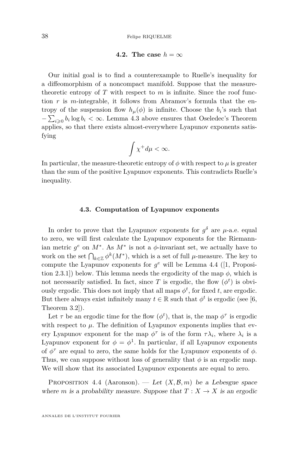#### **4.2.** The case  $h = \infty$

Our initial goal is to find a counterexample to Ruelle's inequality for a diffeomorphism of a noncompact manifold. Suppose that the measuretheoretic entropy of  $T$  with respect to  $m$  is infinite. Since the roof function *r* is *m*-integrable, it follows from Abramov's formula that the entropy of the suspension flow  $h_{\mu}(\phi)$  is infinite. Choose the  $b_i$ 's such that  $-\sum_{i\geqslant 0} b_i \log b_i < \infty$ . Lemma [4.3](#page-15-0) above ensures that Oseledec's Theorem applies, so that there exists almost-everywhere Lyapunov exponents satisfying

$$
\int \chi^+ d\mu < \infty.
$$

In particular, the measure-theoretic entropy of  $\phi$  with respect to  $\mu$  is greater than the sum of the positive Lyapunov exponents. This contradicts Ruelle's inequality.

#### **4.3. Computation of Lyapunov exponents**

In order to prove that the Lyapunov exponents for  $g^{\delta}$  are  $\mu$ -a.e. equal to zero, we will first calculate the Lyapunov exponents for the Riemannian metric  $g^e$  on  $M^*$ . As  $M^*$  is not a  $\phi$ -invariant set, we actually have to work on the set  $\bigcap_{k\in\mathbb{Z}}\phi^k(M^*)$ , which is a set of full *µ*-measure. The key to compute the Lyapunov exponents for  $g^e$  will be Lemma [4.4](#page-16-0) ([\[1,](#page-18-1) Proposition 2.3.1) below. This lemma needs the ergodicity of the map  $\phi$ , which is not necessarily satisfied. In fact, since *T* is ergodic, the flow  $(\phi^t)$  is obviously ergodic. This does not imply that all maps  $\phi^t$ , for fixed *t*, are ergodic. But there always exist infinitely many  $t \in \mathbb{R}$  such that  $\phi^t$  is ergodic (see [\[6,](#page-19-7) Theorem 3.2]).

Let  $\tau$  be an ergodic time for the flow  $(\phi^t)$ , that is, the map  $\phi^{\tau}$  is ergodic with respect to  $\mu$ . The definition of Lyapunov exponents implies that every Lyapunov exponent for the map  $\phi^{\tau}$  is of the form  $\tau \lambda_i$ , where  $\lambda_i$  is a Lyapunov exponent for  $\phi = \phi^1$ . In particular, if all Lyapunov exponents of  $\phi^{\tau}$  are equal to zero, the same holds for the Lyapunov exponents of  $\phi$ . Thus, we can suppose without loss of generality that  $\phi$  is an ergodic map. We will show that its associated Lyapunov exponents are equal to zero.

<span id="page-16-0"></span>PROPOSITION 4.4 (Aaronson). — Let  $(X, \mathcal{B}, m)$  be a Lebesgue space where *m* is a probability measure. Suppose that  $T: X \to X$  is an ergodic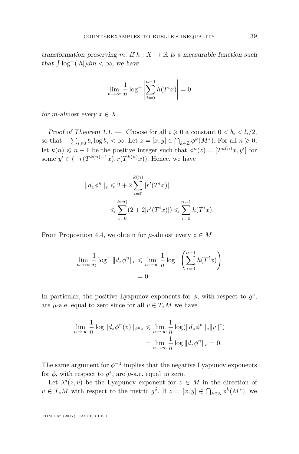transformation preserving *m*. If  $h: X \to \mathbb{R}$  is a measurable function such that  $\int \log^+(|h|) dm < \infty$ , we have

$$
\lim_{n \to \infty} \frac{1}{n} \log^+ \left| \sum_{i=0}^{n-1} h(T^i x) \right| = 0
$$

for *m*-almost every  $x \in X$ .

Proof of Theorem [1.1.](#page-2-0) — Choose for all  $i \geq 0$  a constant  $0 < b_i < l_i/2$ , so that  $-\sum_{i\geqslant 0} b_i \log b_i < \infty$ . Let  $z = [x, y] \in \bigcap_{k \in \mathbb{Z}} \phi^k(M^*)$ . For all  $n \geqslant 0$ , let  $k(n) \leq n-1$  be the positive integer such that  $\phi^{n}(z) = [T^{k(n)}x, y']$  for some  $y' \in (-r(T^{k(n)-1}x), r(T^{k(n)}x))$ . Hence, we have

$$
||d_z\phi^n||_e \leq 2 + 2\sum_{i=0}^{k(n)} |r'(T^i x)|
$$
  

$$
\leq \sum_{i=0}^{k(n)} (2 + 2|r'(T^i x)|) \leq \sum_{i=0}^{n-1} h(T^i x).
$$

From Proposition [4.4,](#page-16-0) we obtain for  $\mu$ -almost every  $z \in M$ 

$$
\lim_{n \to \infty} \frac{1}{n} \log^+ \|d_z \phi^n\|_e \le \lim_{n \to \infty} \frac{1}{n} \log^+ \left(\sum_{i=0}^{n-1} h(T^i x)\right)
$$

$$
= 0.
$$

In particular, the positive Lyapunov exponents for  $\phi$ , with respect to  $g^e$ , are *µ*-a.e. equal to zero since for all  $v \in T_zM$  we have

$$
\lim_{n \to \infty} \frac{1}{n} \log \| d_z \phi^n(v) \|_{\phi^n z} \leq \lim_{n \to \infty} \frac{1}{n} \log (\| d_z \phi^n \|_e \|v\|^e)
$$

$$
= \lim_{n \to \infty} \frac{1}{n} \log \| d_z \phi^n \|_e = 0.
$$

The same argument for  $\phi^{-1}$  implies that the negative Lyapunov exponents for  $\phi$ , with respect to  $g^e$ , are  $\mu$ -a.e. equal to zero.

Let  $\lambda^{\delta}(z, v)$  be the Lyapunov exponent for  $z \in M$  in the direction of  $v \in T_zM$  with respect to the metric  $g^{\delta}$ . If  $z = [x, y] \in \bigcap_{k \in \mathbb{Z}} \phi^k(M^*)$ , we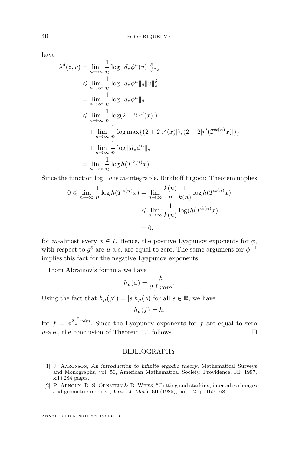have

$$
\lambda^{\delta}(z, v) = \lim_{n \to \infty} \frac{1}{n} \log ||d_z \phi^n(v)||_{\phi^n z}^{\delta}
$$
  
\n
$$
\leq \lim_{n \to \infty} \frac{1}{n} \log ||d_z \phi^n||_{\delta} ||v||_{z}^{\delta}
$$
  
\n
$$
= \lim_{n \to \infty} \frac{1}{n} \log ||d_z \phi^n||_{\delta}
$$
  
\n
$$
\leq \lim_{n \to \infty} \frac{1}{n} \log(2 + 2|r'(x)|)
$$
  
\n
$$
+ \lim_{n \to \infty} \frac{1}{n} \log \max\{(2 + 2|r'(x)|), (2 + 2|r'(T^{k(n)}x)|)\}
$$
  
\n
$$
+ \lim_{n \to \infty} \frac{1}{n} \log ||d_z \phi^n||_e
$$
  
\n
$$
= \lim_{n \to \infty} \frac{1}{n} \log h(T^{k(n)}x).
$$

Since the function  $\log^+ h$  is *m*-integrable, Birkhoff Ergodic Theorem implies

$$
0 \leqslant \lim_{n \to \infty} \frac{1}{n} \log h(T^{k(n)}x) = \lim_{n \to \infty} \frac{k(n)}{n} \frac{1}{k(n)} \log h(T^{k(n)}x)
$$

$$
\leqslant \lim_{n \to \infty} \frac{1}{k(n)} \log(h(T^{k(n)}x))
$$

$$
= 0,
$$

for *m*-almost every  $x \in I$ . Hence, the positive Lyapunov exponents for  $\phi$ , with respect to  $g^{\delta}$  are  $\mu$ -a.e. are equal to zero. The same argument for  $\phi^{-1}$ implies this fact for the negative Lyapunov exponents.

From Abramov's formula we have

$$
h_{\mu}(\phi) = \frac{h}{2 \int r dm}.
$$

Using the fact that  $h_{\mu}(\phi^s) = |s| h_{\mu}(\phi)$  for all  $s \in \mathbb{R}$ , we have

$$
h_{\mu}(f) = h,
$$

for  $f = \phi^2 \int r dm$ . Since the Lyapunov exponents for f are equal to zero  $\mu$ -a.e., the conclusion of Theorem [1.1](#page-2-0) follows.

#### BIBLIOGRAPHY

- <span id="page-18-1"></span>[1] J. Aaronson, An introduction to infinite ergodic theory, Mathematical Surveys and Monographs, vol. 50, American Mathematical Society, Providence, RI, 1997, xii+284 pages.
- <span id="page-18-0"></span>[2] P. Arnoux, D. S. Ornstein & B. Weiss, "Cutting and stacking, interval exchanges and geometric models", Israel J. Math. **50** (1985), no. 1-2, p. 160-168.